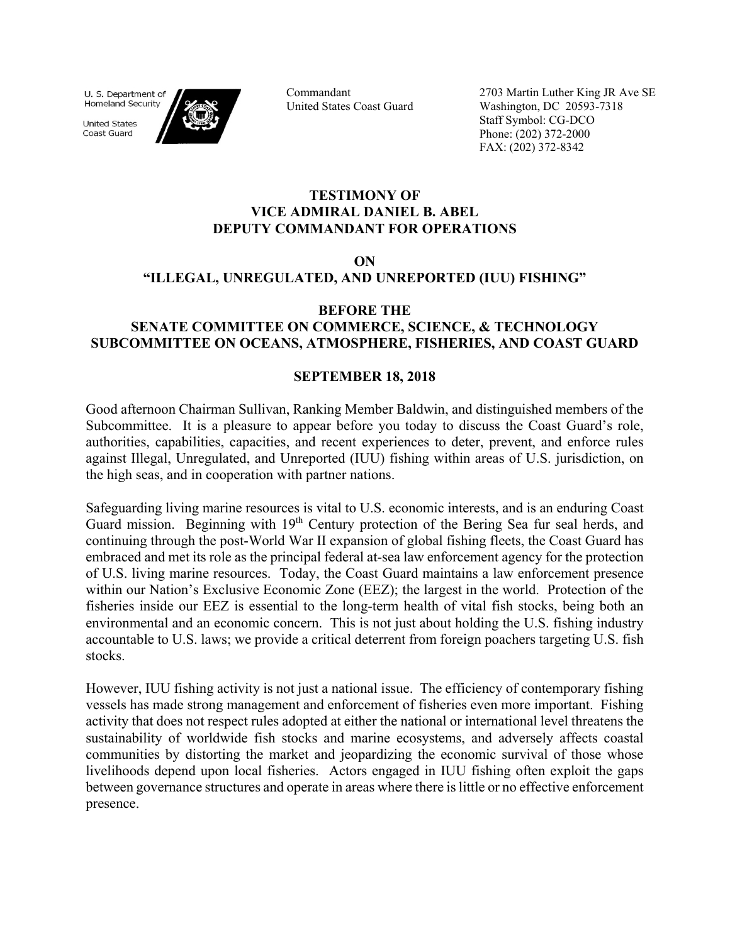U. S. Department of **Homeland Security** 

**United States** Coast Guard



Commandant United States Coast Guard 2703 Martin Luther King JR Ave SE Washington, DC 20593-7318 Staff Symbol: CG-DCO Phone: (202) 372-2000 FAX: (202) 372-8342

## **TESTIMONY OF VICE ADMIRAL DANIEL B. ABEL DEPUTY COMMANDANT FOR OPERATIONS**

### **ON**

# **"ILLEGAL, UNREGULATED, AND UNREPORTED (IUU) FISHING"**

### **BEFORE THE**

# **SENATE COMMITTEE ON COMMERCE, SCIENCE, & TECHNOLOGY SUBCOMMITTEE ON OCEANS, ATMOSPHERE, FISHERIES, AND COAST GUARD**

### **SEPTEMBER 18, 2018**

Good afternoon Chairman Sullivan, Ranking Member Baldwin, and distinguished members of the Subcommittee. It is a pleasure to appear before you today to discuss the Coast Guard's role, authorities, capabilities, capacities, and recent experiences to deter, prevent, and enforce rules against Illegal, Unregulated, and Unreported (IUU) fishing within areas of U.S. jurisdiction, on the high seas, and in cooperation with partner nations.

Safeguarding living marine resources is vital to U.S. economic interests, and is an enduring Coast Guard mission. Beginning with 19<sup>th</sup> Century protection of the Bering Sea fur seal herds, and continuing through the post-World War II expansion of global fishing fleets, the Coast Guard has embraced and met its role as the principal federal at-sea law enforcement agency for the protection of U.S. living marine resources. Today, the Coast Guard maintains a law enforcement presence within our Nation's Exclusive Economic Zone (EEZ); the largest in the world. Protection of the fisheries inside our EEZ is essential to the long-term health of vital fish stocks, being both an environmental and an economic concern. This is not just about holding the U.S. fishing industry accountable to U.S. laws; we provide a critical deterrent from foreign poachers targeting U.S. fish stocks.

However, IUU fishing activity is not just a national issue. The efficiency of contemporary fishing vessels has made strong management and enforcement of fisheries even more important. Fishing activity that does not respect rules adopted at either the national or international level threatens the sustainability of worldwide fish stocks and marine ecosystems, and adversely affects coastal communities by distorting the market and jeopardizing the economic survival of those whose livelihoods depend upon local fisheries. Actors engaged in IUU fishing often exploit the gaps between governance structures and operate in areas where there is little or no effective enforcement presence.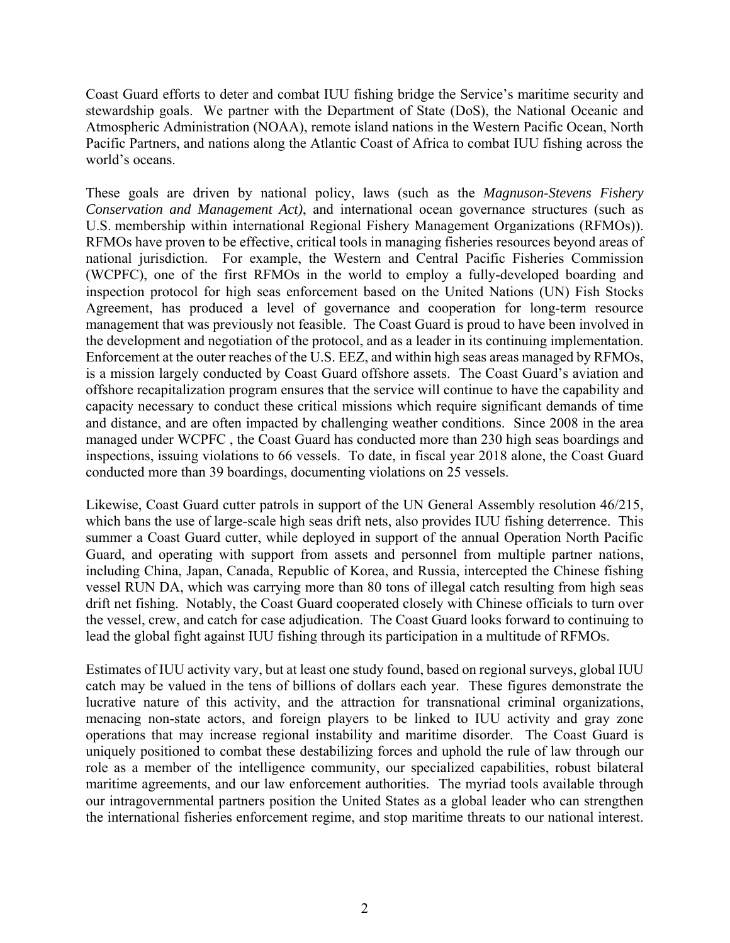Coast Guard efforts to deter and combat IUU fishing bridge the Service's maritime security and stewardship goals. We partner with the Department of State (DoS), the National Oceanic and Atmospheric Administration (NOAA), remote island nations in the Western Pacific Ocean, North Pacific Partners, and nations along the Atlantic Coast of Africa to combat IUU fishing across the world's oceans.

These goals are driven by national policy, laws (such as the *Magnuson-Stevens Fishery Conservation and Management Act)*, and international ocean governance structures (such as U.S. membership within international Regional Fishery Management Organizations (RFMOs)). RFMOs have proven to be effective, critical tools in managing fisheries resources beyond areas of national jurisdiction. For example, the Western and Central Pacific Fisheries Commission (WCPFC), one of the first RFMOs in the world to employ a fully-developed boarding and inspection protocol for high seas enforcement based on the United Nations (UN) Fish Stocks Agreement, has produced a level of governance and cooperation for long-term resource management that was previously not feasible. The Coast Guard is proud to have been involved in the development and negotiation of the protocol, and as a leader in its continuing implementation. Enforcement at the outer reaches of the U.S. EEZ, and within high seas areas managed by RFMOs, is a mission largely conducted by Coast Guard offshore assets. The Coast Guard's aviation and offshore recapitalization program ensures that the service will continue to have the capability and capacity necessary to conduct these critical missions which require significant demands of time and distance, and are often impacted by challenging weather conditions. Since 2008 in the area managed under WCPFC , the Coast Guard has conducted more than 230 high seas boardings and inspections, issuing violations to 66 vessels. To date, in fiscal year 2018 alone, the Coast Guard conducted more than 39 boardings, documenting violations on 25 vessels.

Likewise, Coast Guard cutter patrols in support of the UN General Assembly resolution 46/215, which bans the use of large-scale high seas drift nets, also provides IUU fishing deterrence. This summer a Coast Guard cutter, while deployed in support of the annual Operation North Pacific Guard, and operating with support from assets and personnel from multiple partner nations, including China, Japan, Canada, Republic of Korea, and Russia, intercepted the Chinese fishing vessel RUN DA, which was carrying more than 80 tons of illegal catch resulting from high seas drift net fishing. Notably, the Coast Guard cooperated closely with Chinese officials to turn over the vessel, crew, and catch for case adjudication. The Coast Guard looks forward to continuing to lead the global fight against IUU fishing through its participation in a multitude of RFMOs.

Estimates of IUU activity vary, but at least one study found, based on regional surveys, global IUU catch may be valued in the tens of billions of dollars each year. These figures demonstrate the lucrative nature of this activity, and the attraction for transnational criminal organizations, menacing non-state actors, and foreign players to be linked to IUU activity and gray zone operations that may increase regional instability and maritime disorder. The Coast Guard is uniquely positioned to combat these destabilizing forces and uphold the rule of law through our role as a member of the intelligence community, our specialized capabilities, robust bilateral maritime agreements, and our law enforcement authorities. The myriad tools available through our intragovernmental partners position the United States as a global leader who can strengthen the international fisheries enforcement regime, and stop maritime threats to our national interest.